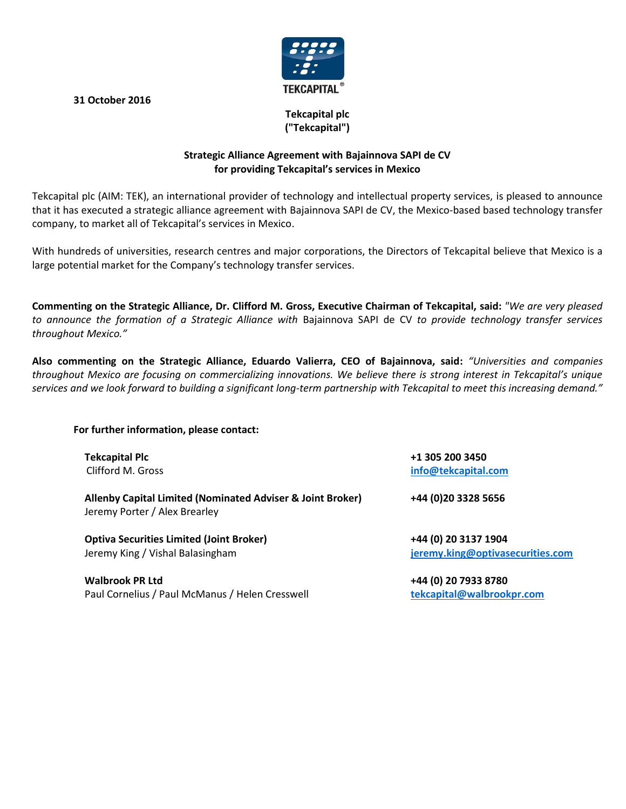

**31 October 2016**

## **Tekcapital plc ("Tekcapital")**

## **Strategic Alliance Agreement with Bajainnova SAPI de CV for providing Tekcapital's services in Mexico**

Tekcapital plc (AIM: TEK), an international provider of technology and intellectual property services, is pleased to announce that it has executed a strategic alliance agreement with Bajainnova SAPI de CV, the Mexico-based based technology transfer company, to market all of Tekcapital's services in Mexico.

With hundreds of universities, research centres and major corporations, the Directors of Tekcapital believe that Mexico is a large potential market for the Company's technology transfer services.

**Commenting on the Strategic Alliance, Dr. Clifford M. Gross, Executive Chairman of Tekcapital, said:** *"We are very pleased to announce the formation of a Strategic Alliance with* Bajainnova SAPI de CV *to provide technology transfer services throughout Mexico."*

**Also commenting on the Strategic Alliance, Eduardo Valierra, CEO of Bajainnova, said:** *"Universities and companies throughout Mexico are focusing on commercializing innovations. We believe there is strong interest in Tekcapital's unique services and we look forward to building a significant long-term partnership with Tekcapital to meet this increasing demand."*

## **For further information, please contact:**

| <b>Tekcapital Plc</b>                                                                       | +1 305 200 3450                  |
|---------------------------------------------------------------------------------------------|----------------------------------|
| Clifford M. Gross                                                                           | info@tekcapital.com              |
| Allenby Capital Limited (Nominated Adviser & Joint Broker)<br>Jeremy Porter / Alex Brearley | +44 (0) 20 3328 5656             |
| <b>Optiva Securities Limited (Joint Broker)</b>                                             | +44 (0) 20 3137 1904             |
| Jeremy King / Vishal Balasingham                                                            | jeremy.king@optivasecurities.com |
| <b>Walbrook PR Ltd</b>                                                                      | +44 (0) 20 7933 8780             |
| Paul Cornelius / Paul McManus / Helen Cresswell                                             | tekcapital@walbrookpr.com        |